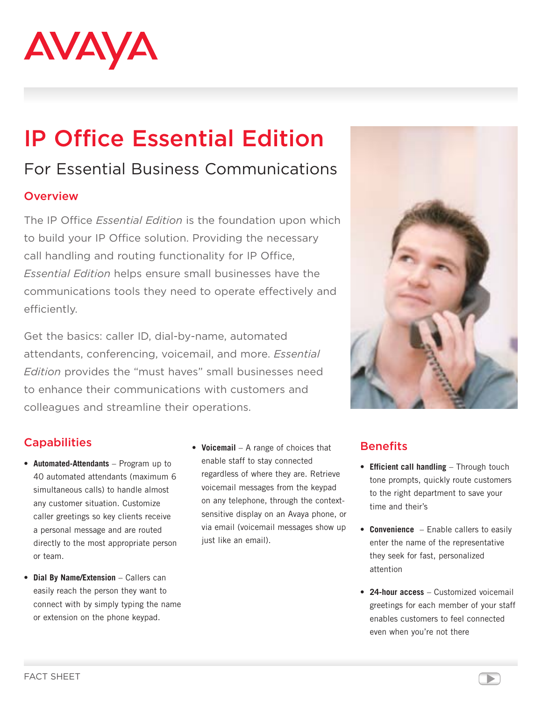

# IP Office Essential Edition

## For Essential Business Communications

#### **Overview**

The IP Office *Essential Edition* is the foundation upon which to build your IP Office solution. Providing the necessary call handling and routing functionality for IP Office, *Essential Edition* helps ensure small businesses have the communications tools they need to operate effectively and efficiently.

Get the basics: caller ID, dial-by-name, automated attendants, conferencing, voicemail, and more. *Essential Edition* provides the "must haves" small businesses need to enhance their communications with customers and colleagues and streamline their operations.



### **Capabilities**

- • **Automated-Attendants** Program up to 40 automated attendants (maximum 6 simultaneous calls) to handle almost any customer situation. Customize caller greetings so key clients receive a personal message and are routed directly to the most appropriate person or team.
- • **Dial By Name/Extension** Callers can easily reach the person they want to connect with by simply typing the name or extension on the phone keypad.
- • **Voicemail** A range of choices that enable staff to stay connected regardless of where they are. Retrieve voicemail messages from the keypad on any telephone, through the contextsensitive display on an Avaya phone, or via email (voicemail messages show up just like an email).

#### **Benefits**

- • **Efficient call handling** Through touch tone prompts, quickly route customers to the right department to save your time and their's
- **Convenience** Enable callers to easily enter the name of the representative they seek for fast, personalized attention
- • **24-hour access** Customized voicemail greetings for each member of your staff enables customers to feel connected even when you're not there